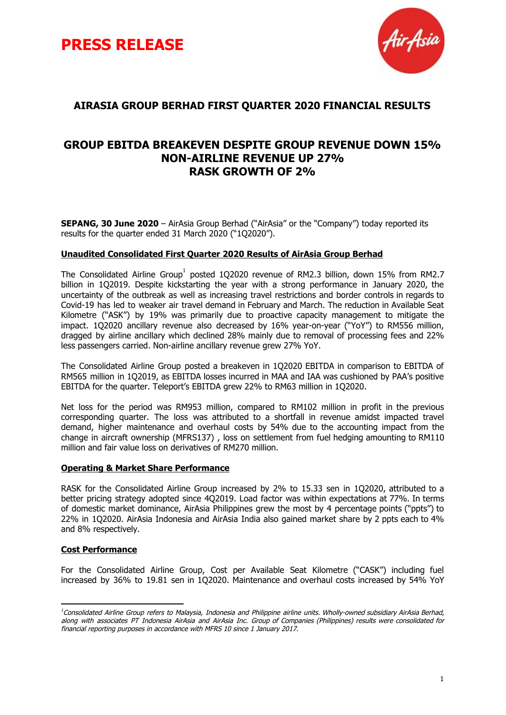



## **AIRASIA GROUP BERHAD FIRST QUARTER 2020 FINANCIAL RESULTS**

## **GROUP EBITDA BREAKEVEN DESPITE GROUP REVENUE DOWN 15% NON-AIRLINE REVENUE UP 27% RASK GROWTH OF 2%**

**SEPANG, 30 June 2020** – AirAsia Group Berhad ("AirAsia" or the "Company") today reported its results for the quarter ended 31 March 2020 ("1Q2020").

#### **Unaudited Consolidated First Quarter 2020 Results of AirAsia Group Berhad**

The Consolidated Airline Group<sup>1</sup> posted 1Q2020 revenue of RM2.3 billion, down 15% from RM2.7 billion in 1Q2019. Despite kickstarting the year with a strong performance in January 2020, the uncertainty of the outbreak as well as increasing travel restrictions and border controls in regards to Covid-19 has led to weaker air travel demand in February and March. The reduction in Available Seat Kilometre ("ASK") by 19% was primarily due to proactive capacity management to mitigate the impact. 1Q2020 ancillary revenue also decreased by 16% year-on-year ("YoY") to RM556 million, dragged by airline ancillary which declined 28% mainly due to removal of processing fees and 22% less passengers carried. Non-airline ancillary revenue grew 27% YoY.

The Consolidated Airline Group posted a breakeven in 1Q2020 EBITDA in comparison to EBITDA of RM565 million in 1Q2019, as EBITDA losses incurred in MAA and IAA was cushioned by PAA's positive EBITDA for the quarter. Teleport's EBITDA grew 22% to RM63 million in 1Q2020.

Net loss for the period was RM953 million, compared to RM102 million in profit in the previous corresponding quarter. The loss was attributed to a shortfall in revenue amidst impacted travel demand, higher maintenance and overhaul costs by 54% due to the accounting impact from the change in aircraft ownership (MFRS137) , loss on settlement from fuel hedging amounting to RM110 million and fair value loss on derivatives of RM270 million.

#### **Operating & Market Share Performance**

RASK for the Consolidated Airline Group increased by 2% to 15.33 sen in 1Q2020, attributed to a better pricing strategy adopted since 4Q2019. Load factor was within expectations at 77%. In terms of domestic market dominance, AirAsia Philippines grew the most by 4 percentage points ("ppts") to 22% in 1Q2020. AirAsia Indonesia and AirAsia India also gained market share by 2 ppts each to 4% and 8% respectively.

### **Cost Performance**

For the Consolidated Airline Group, Cost per Available Seat Kilometre ("CASK") including fuel increased by 36% to 19.81 sen in 1Q2020. Maintenance and overhaul costs increased by 54% YoY

<sup>&</sup>lt;sup>1</sup>Consolidated Airline Group refers to Malaysia, Indonesia and Philippine airline units. Wholly-owned subsidiary AirAsia Berhad, along with associates PT Indonesia AirAsia and AirAsia Inc. Group of Companies (Philippines) results were consolidated for financial reporting purposes in accordance with MFRS 10 since 1 January 2017.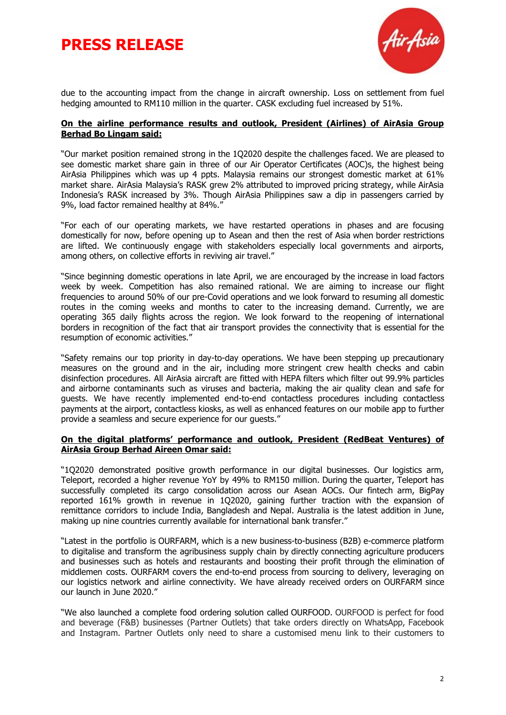



due to the accounting impact from the change in aircraft ownership. Loss on settlement from fuel hedging amounted to RM110 million in the quarter. CASK excluding fuel increased by 51%.

#### **On the airline performance results and outlook, President (Airlines) of AirAsia Group Berhad Bo Lingam said:**

"Our market position remained strong in the 1Q2020 despite the challenges faced. We are pleased to see domestic market share gain in three of our Air Operator Certificates (AOC)s, the highest being AirAsia Philippines which was up 4 ppts. Malaysia remains our strongest domestic market at 61% market share. AirAsia Malaysia's RASK grew 2% attributed to improved pricing strategy, while AirAsia Indonesia's RASK increased by 3%. Though AirAsia Philippines saw a dip in passengers carried by 9%, load factor remained healthy at 84%."

"For each of our operating markets, we have restarted operations in phases and are focusing domestically for now, before opening up to Asean and then the rest of Asia when border restrictions are lifted. We continuously engage with stakeholders especially local governments and airports, among others, on collective efforts in reviving air travel."

"Since beginning domestic operations in late April, we are encouraged by the increase in load factors week by week. Competition has also remained rational. We are aiming to increase our flight frequencies to around 50% of our pre-Covid operations and we look forward to resuming all domestic routes in the coming weeks and months to cater to the increasing demand. Currently, we are operating 365 daily flights across the region. We look forward to the reopening of international borders in recognition of the fact that air transport provides the connectivity that is essential for the resumption of economic activities."

"Safety remains our top priority in day-to-day operations. We have been stepping up precautionary measures on the ground and in the air, including more stringent crew health checks and cabin disinfection procedures. All AirAsia aircraft are fitted with HEPA filters which filter out 99.9% particles and airborne contaminants such as viruses and bacteria, making the air quality clean and safe for guests. We have recently implemented end-to-end contactless procedures including contactless payments at the airport, contactless kiosks, as well as enhanced features on our mobile app to further provide a seamless and secure experience for our guests."

#### **On the digital platforms' performance and outlook, President (RedBeat Ventures) of AirAsia Group Berhad Aireen Omar said:**

"1Q2020 demonstrated positive growth performance in our digital businesses. Our logistics arm, Teleport, recorded a higher revenue YoY by 49% to RM150 million. During the quarter, Teleport has successfully completed its cargo consolidation across our Asean AOCs. Our fintech arm, BigPay reported 161% growth in revenue in 1Q2020, gaining further traction with the expansion of remittance corridors to include India, Bangladesh and Nepal. Australia is the latest addition in June, making up nine countries currently available for international bank transfer."

"Latest in the portfolio is OURFARM, which is a new business-to-business (B2B) e-commerce platform to digitalise and transform the agribusiness supply chain by directly connecting agriculture producers and businesses such as hotels and restaurants and boosting their profit through the elimination of middlemen costs. OURFARM covers the end-to-end process from sourcing to delivery, leveraging on our logistics network and airline connectivity. We have already received orders on OURFARM since our launch in June 2020."

"We also launched a complete food ordering solution called OURFOOD. OURFOOD is perfect for food and beverage (F&B) businesses (Partner Outlets) that take orders directly on WhatsApp, Facebook and Instagram. Partner Outlets only need to share a customised menu link to their customers to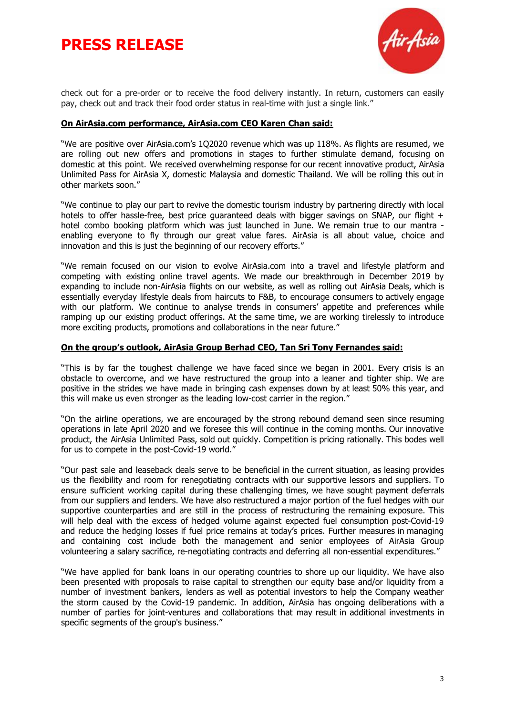# **PRESS RELEASE**



check out for a pre-order or to receive the food delivery instantly. In return, customers can easily pay, check out and track their food order status in real-time with just a single link."

#### **On AirAsia.com performance, AirAsia.com CEO Karen Chan said:**

"We are positive over AirAsia.com's 1Q2020 revenue which was up 118%. As flights are resumed, we are rolling out new offers and promotions in stages to further stimulate demand, focusing on domestic at this point. We received overwhelming response for our recent innovative product, AirAsia Unlimited Pass for AirAsia X, domestic Malaysia and domestic Thailand. We will be rolling this out in other markets soon."

"We continue to play our part to revive the domestic tourism industry by partnering directly with local hotels to offer hassle-free, best price quaranteed deals with bigger savings on SNAP, our flight + hotel combo booking platform which was just launched in June. We remain true to our mantra enabling everyone to fly through our great value fares. AirAsia is all about value, choice and innovation and this is just the beginning of our recovery efforts."

"We remain focused on our vision to evolve AirAsia.com into a travel and lifestyle platform and competing with existing online travel agents. We made our breakthrough in December 2019 by expanding to include non-AirAsia flights on our website, as well as rolling out AirAsia Deals, which is essentially everyday lifestyle deals from haircuts to F&B, to encourage consumers to actively engage with our platform. We continue to analyse trends in consumers' appetite and preferences while ramping up our existing product offerings. At the same time, we are working tirelessly to introduce more exciting products, promotions and collaborations in the near future."

#### **On the group's outlook, AirAsia Group Berhad CEO, Tan Sri Tony Fernandes said:**

"This is by far the toughest challenge we have faced since we began in 2001. Every crisis is an obstacle to overcome, and we have restructured the group into a leaner and tighter ship. We are positive in the strides we have made in bringing cash expenses down by at least 50% this year, and this will make us even stronger as the leading low-cost carrier in the region."

"On the airline operations, we are encouraged by the strong rebound demand seen since resuming operations in late April 2020 and we foresee this will continue in the coming months. Our innovative product, the AirAsia Unlimited Pass, sold out quickly. Competition is pricing rationally. This bodes well for us to compete in the post-Covid-19 world."

"Our past sale and leaseback deals serve to be beneficial in the current situation, as leasing provides us the flexibility and room for renegotiating contracts with our supportive lessors and suppliers. To ensure sufficient working capital during these challenging times, we have sought payment deferrals from our suppliers and lenders. We have also restructured a major portion of the fuel hedges with our supportive counterparties and are still in the process of restructuring the remaining exposure. This will help deal with the excess of hedged volume against expected fuel consumption post-Covid-19 and reduce the hedging losses if fuel price remains at today's prices. Further measures in managing and containing cost include both the management and senior employees of AirAsia Group volunteering a salary sacrifice, re-negotiating contracts and deferring all non-essential expenditures."

"We have applied for bank loans in our operating countries to shore up our liquidity. We have also been presented with proposals to raise capital to strengthen our equity base and/or liquidity from a number of investment bankers, lenders as well as potential investors to help the Company weather the storm caused by the Covid-19 pandemic. In addition, AirAsia has ongoing deliberations with a number of parties for joint-ventures and collaborations that may result in additional investments in specific segments of the group's business."